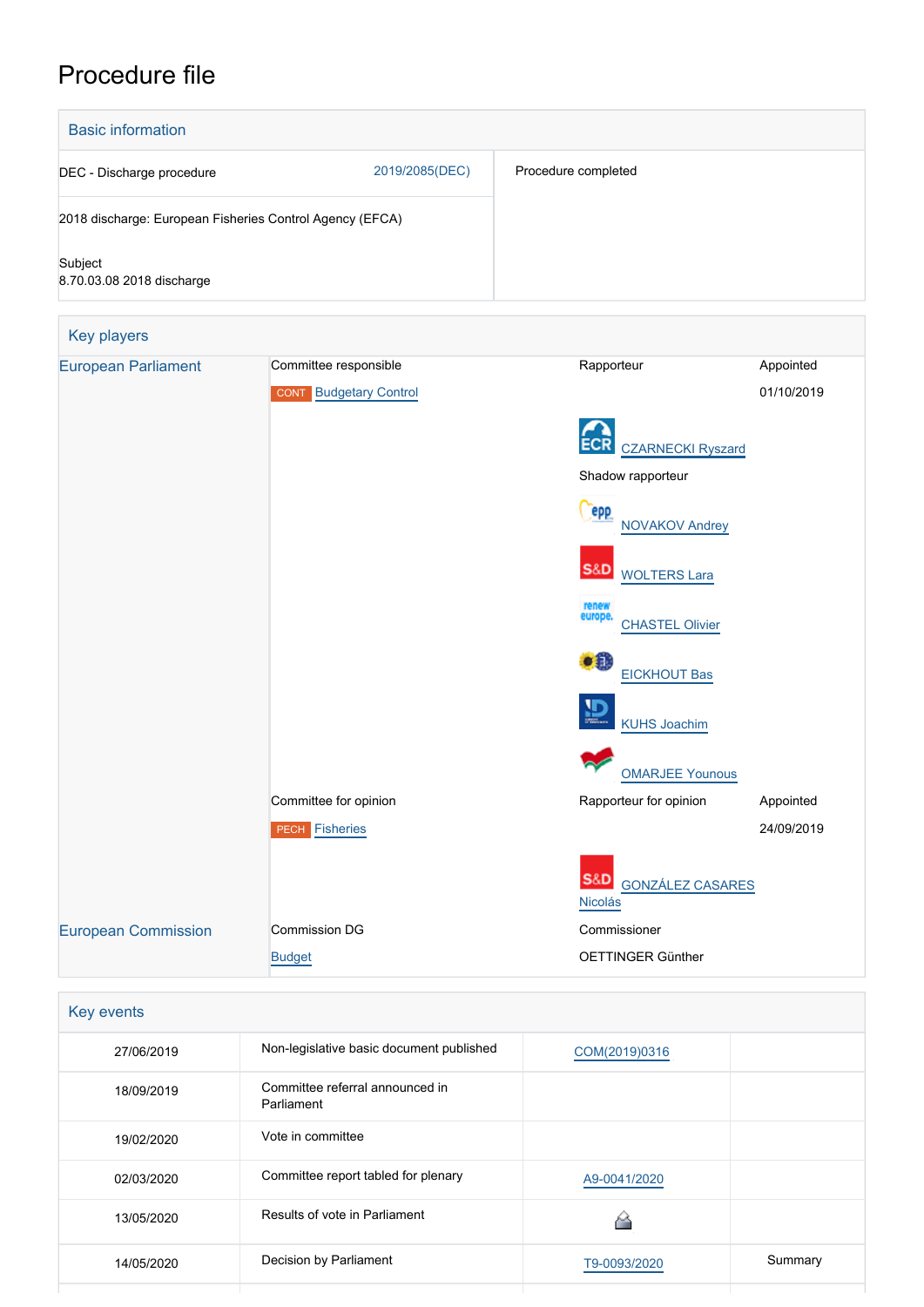# Procedure file



| Key events |                                               |               |         |
|------------|-----------------------------------------------|---------------|---------|
| 27/06/2019 | Non-legislative basic document published      | COM(2019)0316 |         |
| 18/09/2019 | Committee referral announced in<br>Parliament |               |         |
| 19/02/2020 | Vote in committee                             |               |         |
| 02/03/2020 | Committee report tabled for plenary           | A9-0041/2020  |         |
| 13/05/2020 | Results of vote in Parliament                 |               |         |
| 14/05/2020 | Decision by Parliament                        | T9-0093/2020  | Summary |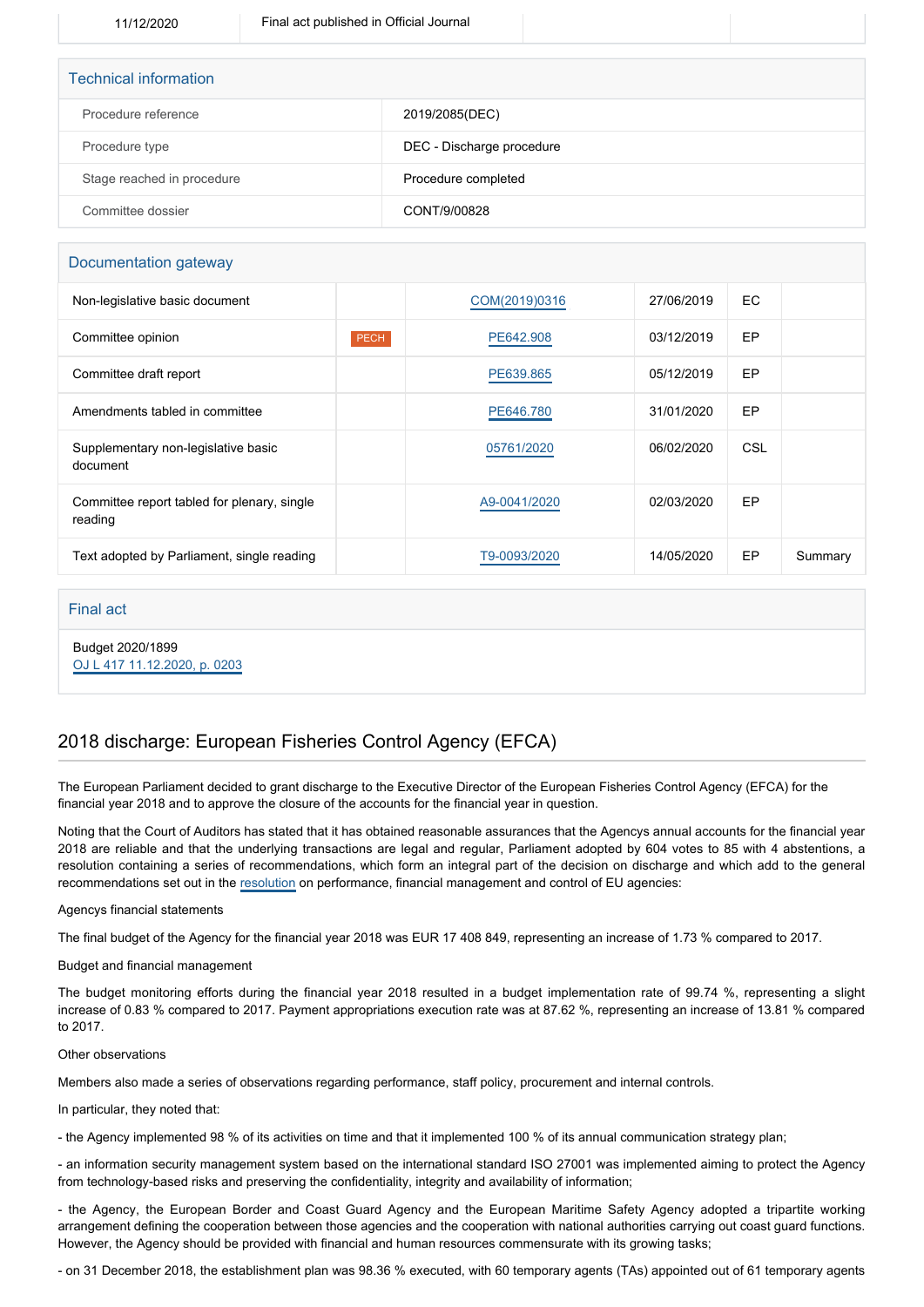| <b>Technical information</b> |                           |  |  |  |
|------------------------------|---------------------------|--|--|--|
| Procedure reference          | 2019/2085(DEC)            |  |  |  |
| Procedure type               | DEC - Discharge procedure |  |  |  |
| Stage reached in procedure   | Procedure completed       |  |  |  |
| Committee dossier            | CONT/9/00828              |  |  |  |

## Documentation gateway

| Non-legislative basic document                         |      | COM(2019)0316 | 27/06/2019 | EC. |         |
|--------------------------------------------------------|------|---------------|------------|-----|---------|
| Committee opinion                                      | PECH | PE642.908     | 03/12/2019 | EP  |         |
| Committee draft report                                 |      | PE639.865     | 05/12/2019 | EP  |         |
| Amendments tabled in committee                         |      | PE646.780     | 31/01/2020 | EP  |         |
| Supplementary non-legislative basic<br>document        |      | 05761/2020    | 06/02/2020 | CSL |         |
| Committee report tabled for plenary, single<br>reading |      | A9-0041/2020  | 02/03/2020 | EP  |         |
| Text adopted by Parliament, single reading             |      | T9-0093/2020  | 14/05/2020 | EP  | Summary |
|                                                        |      |               |            |     |         |

## Final act

Budget 2020/1899 [OJ L 417 11.12.2020, p. 0203](https://eur-lex.europa.eu/legal-content/EN/TXT/?uri=OJ:L:2020:417:TOC)

2018 discharge: European Fisheries Control Agency (EFCA)

The European Parliament decided to grant discharge to the Executive Director of the European Fisheries Control Agency (EFCA) for the financial year 2018 and to approve the closure of the accounts for the financial year in question.

Noting that the Court of Auditors has stated that it has obtained reasonable assurances that the Agencys annual accounts for the financial year 2018 are reliable and that the underlying transactions are legal and regular, Parliament adopted by 604 votes to 85 with 4 abstentions, a resolution containing a series of recommendations, which form an integral part of the decision on discharge and which add to the general recommendations set out in the [resolution](https://oeil.secure.europarl.europa.eu/oeil/popups/ficheprocedure.do?lang=en&reference=2019/2098(DEC)) on performance, financial management and control of EU agencies:

### Agencys financial statements

The final budget of the Agency for the financial year 2018 was EUR 17 408 849, representing an increase of 1.73 % compared to 2017.

### Budget and financial management

The budget monitoring efforts during the financial year 2018 resulted in a budget implementation rate of 99.74 %, representing a slight increase of 0.83 % compared to 2017. Payment appropriations execution rate was at 87.62 %, representing an increase of 13.81 % compared to 2017.

#### Other observations

Members also made a series of observations regarding performance, staff policy, procurement and internal controls.

In particular, they noted that:

- the Agency implemented 98 % of its activities on time and that it implemented 100 % of its annual communication strategy plan;

- an information security management system based on the international standard ISO 27001 was implemented aiming to protect the Agency from technology-based risks and preserving the confidentiality, integrity and availability of information;

- the Agency, the European Border and Coast Guard Agency and the European Maritime Safety Agency adopted a tripartite working arrangement defining the cooperation between those agencies and the cooperation with national authorities carrying out coast guard functions. However, the Agency should be provided with financial and human resources commensurate with its growing tasks;

- on 31 December 2018, the establishment plan was 98.36 % executed, with 60 temporary agents (TAs) appointed out of 61 temporary agents